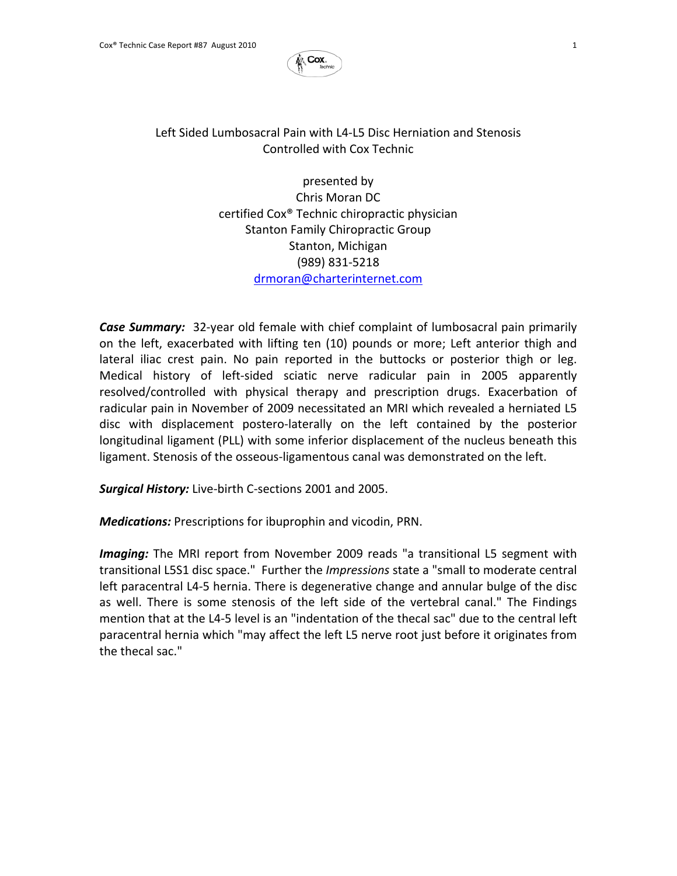

## Left Sided Lumbosacral Pain with L4‐L5 Disc Herniation and Stenosis Controlled with Cox Technic

presented by Chris Moran DC certified Cox® Technic chiropractic physician Stanton Family Chiropractic Group Stanton, Michigan (989) 831‐5218 drmoran@charterinternet.com

*Case Summary:* 32‐year old female with chief complaint of lumbosacral pain primarily on the left, exacerbated with lifting ten (10) pounds or more; Left anterior thigh and lateral iliac crest pain. No pain reported in the buttocks or posterior thigh or leg. Medical history of left‐sided sciatic nerve radicular pain in 2005 apparently resolved/controlled with physical therapy and prescription drugs. Exacerbation of radicular pain in November of 2009 necessitated an MRI which revealed a herniated L5 disc with displacement postero‐laterally on the left contained by the posterior longitudinal ligament (PLL) with some inferior displacement of the nucleus beneath this ligament. Stenosis of the osseous‐ligamentous canal was demonstrated on the left.

*Surgical History:* Live‐birth C‐sections 2001 and 2005.

*Medications:* Prescriptions for ibuprophin and vicodin, PRN.

*Imaging:* The MRI report from November 2009 reads "a transitional L5 segment with transitional L5S1 disc space." Further the *Impressions* state a "small to moderate central left paracentral L4‐5 hernia. There is degenerative change and annular bulge of the disc as well. There is some stenosis of the left side of the vertebral canal." The Findings mention that at the L4‐5 level is an "indentation of the thecal sac" due to the central left paracentral hernia which "may affect the left L5 nerve root just before it originates from the thecal sac."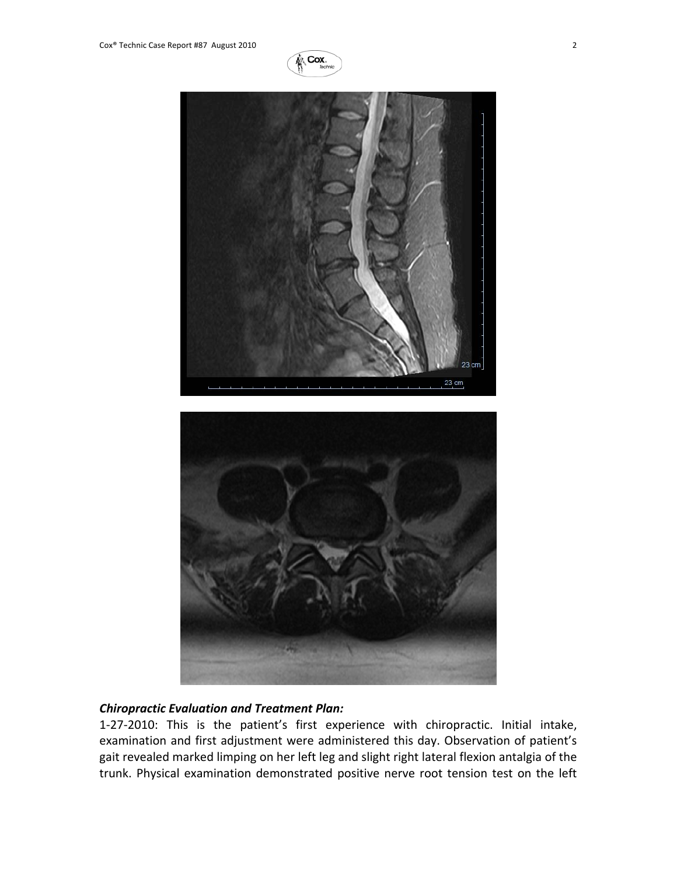





## *Chiropractic Evaluation and Treatment Plan:*

1‐27‐2010: This is the patient's first experience with chiropractic. Initial intake, examination and first adjustment were administered this day. Observation of patient's gait revealed marked limping on her left leg and slight right lateral flexion antalgia of the trunk. Physical examination demonstrated positive nerve root tension test on the left